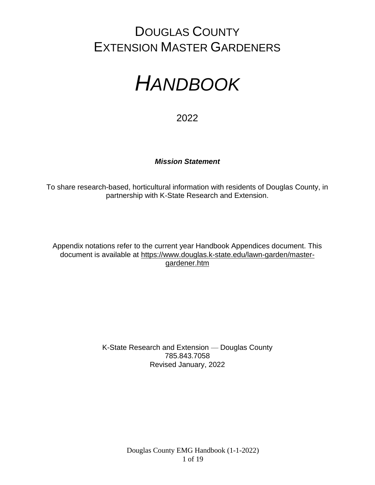# DOUGLAS COUNTY EXTENSION MASTER GARDENERS

# *HANDBOOK*

2022

# *Mission Statement*

To share research-based, horticultural information with residents of Douglas County, in partnership with K-State Research and Extension.

Appendix notations refer to the current year Handbook Appendices document. This document is available at [https://www.douglas.k-state.edu/lawn-garden/master](https://www.douglas.k-state.edu/lawn-garden/master-gardener.htm)[gardener.htm](https://www.douglas.k-state.edu/lawn-garden/master-gardener.htm)

> K-State Research and Extension — Douglas County 785.843.7058 Revised January, 2022

> > Douglas County EMG Handbook (1-1-2022) 1 of 19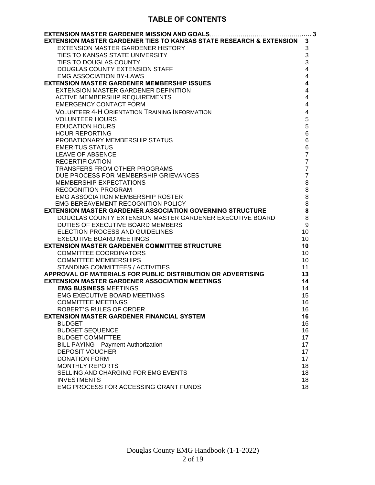# **TABLE OF CONTENTS**

| EXTENSION MASTER GARDENER TIES TO KANSAS STATE RESEARCH & EXTENSION                              | 3                         |
|--------------------------------------------------------------------------------------------------|---------------------------|
| <b>EXTENSION MASTER GARDENER HISTORY</b>                                                         | $\sqrt{3}$                |
| TIES TO KANSAS STATE UNIVERSITY                                                                  | $\ensuremath{\mathsf{3}}$ |
| TIES TO DOUGLAS COUNTY                                                                           | 3                         |
| DOUGLAS COUNTY EXTENSION STAFF                                                                   | $\overline{\mathbf{4}}$   |
| <b>EMG ASSOCIATION BY-LAWS</b>                                                                   | $\overline{4}$            |
| <b>EXTENSION MASTER GARDENER MEMBERSHIP ISSUES</b>                                               | $\boldsymbol{4}$          |
| EXTENSION MASTER GARDENER DEFINITION                                                             | 4                         |
| <b>ACTIVE MEMBERSHIP REQUIREMENTS</b>                                                            | $\overline{4}$            |
| <b>EMERGENCY CONTACT FORM</b>                                                                    | 4                         |
| <b>VOLUNTEER 4-H ORIENTATION TRAINING INFORMATION</b>                                            | $\overline{\mathbf{4}}$   |
| <b>VOLUNTEER HOURS</b>                                                                           | 5                         |
| <b>EDUCATION HOURS</b>                                                                           | 5                         |
| <b>HOUR REPORTING</b>                                                                            | 6                         |
| PROBATIONARY MEMBERSHIP STATUS                                                                   | 6                         |
| <b>EMERITUS STATUS</b>                                                                           | $\,6$                     |
| <b>LEAVE OF ABSENCE</b>                                                                          | $\overline{7}$            |
| <b>RECERTIFICATION</b>                                                                           | $\overline{7}$            |
| TRANSFERS FROM OTHER PROGRAMS                                                                    | $\overline{7}$            |
| DUE PROCESS FOR MEMBERSHIP GRIEVANCES                                                            | $\overline{7}$            |
| MEMBERSHIP EXPECTATIONS                                                                          | 8                         |
| <b>RECOGNITION PROGRAM</b>                                                                       | $\,8\,$                   |
| <b>EMG ASSOCIATION MEMBERSHIP ROSTER</b>                                                         | $\,8\,$                   |
| EMG BEREAVEMENT RECOGNITION POLICY                                                               | 8                         |
| <b>EXTENSION MASTER GARDENER ASSOCIATION GOVERNING STRUCTURE</b>                                 | 8                         |
| DOUGLAS COUNTY EXTENSION MASTER GARDENER EXECUTIVE BOARD                                         | 8                         |
| DUTIES OF EXECUTIVE BOARD MEMBERS                                                                | 9                         |
| ELECTION PROCESS AND GUIDELINES                                                                  | 10                        |
| <b>EXECUTIVE BOARD MEETINGS</b><br><b>EXTENSION MASTER GARDENER COMMITTEE STRUCTURE</b>          | 10                        |
| <b>COMMITTEE COORDINATORS</b>                                                                    | 10                        |
| <b>COMMITTEE MEMBERSHIPS</b>                                                                     | 10<br>10                  |
|                                                                                                  |                           |
| STANDING COMMITTEES / ACTIVITIES<br>APPROVAL OF MATERIALS FOR PUBLIC DISTRIBUTION OR ADVERTISING | 11<br>13                  |
| <b>EXTENSION MASTER GARDENER ASSOCIATION MEETINGS</b>                                            | 14                        |
| <b>EMG BUSINESS MEETINGS</b>                                                                     | 14                        |
| <b>EMG EXECUTIVE BOARD MEETINGS</b>                                                              | 15                        |
| <b>COMMITTEE MEETINGS</b>                                                                        | 16                        |
| ROBERT'S RULES OF ORDER                                                                          | 16                        |
| <b>EXTENSION MASTER GARDENER FINANCIAL SYSTEM</b>                                                | 16                        |
| <b>BUDGET</b>                                                                                    | 16                        |
| <b>BUDGET SEQUENCE</b>                                                                           | 16                        |
| <b>BUDGET COMMITTEE</b>                                                                          | 17                        |
| <b>BILL PAYING - Payment Authorization</b>                                                       | 17                        |
| DEPOSIT VOUCHER                                                                                  | 17                        |
| <b>DONATION FORM</b>                                                                             | 17                        |
| <b>MONTHLY REPORTS</b>                                                                           | 18                        |
| SELLING AND CHARGING FOR EMG EVENTS                                                              | 18                        |
| <b>INVESTMENTS</b>                                                                               | 18                        |
| <b>EMG PROCESS FOR ACCESSING GRANT FUNDS</b>                                                     | 18                        |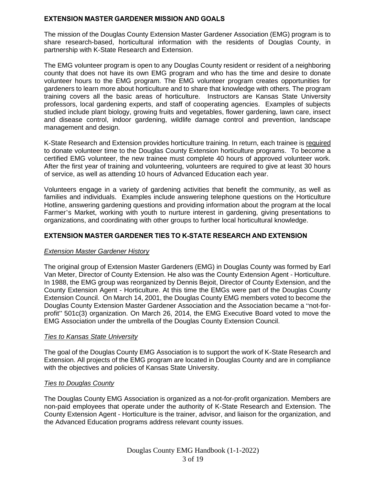# **EXTENSION MASTER GARDENER MISSION AND GOALS**

The mission of the Douglas County Extension Master Gardener Association (EMG) program is to share research-based, horticultural information with the residents of Douglas County, in partnership with K-State Research and Extension.

The EMG volunteer program is open to any Douglas County resident or resident of a neighboring county that does not have its own EMG program and who has the time and desire to donate volunteer hours to the EMG program. The EMG volunteer program creates opportunities for gardeners to learn more about horticulture and to share that knowledge with others. The program training covers all the basic areas of horticulture. Instructors are Kansas State University professors, local gardening experts, and staff of cooperating agencies. Examples of subjects studied include plant biology, growing fruits and vegetables, flower gardening, lawn care, insect and disease control, indoor gardening, wildlife damage control and prevention, landscape management and design.

K-State Research and Extension provides horticulture training. In return, each trainee is required to donate volunteer time to the Douglas County Extension horticulture programs. To become a certified EMG volunteer, the new trainee must complete 40 hours of approved volunteer work. After the first year of training and volunteering, volunteers are required to give at least 30 hours of service, as well as attending 10 hours of Advanced Education each year.

Volunteers engage in a variety of gardening activities that benefit the community, as well as families and individuals. Examples include answering telephone questions on the Horticulture Hotline, answering gardening questions and providing information about the program at the local Farmer's Market, working with youth to nurture interest in gardening, giving presentations to organizations, and coordinating with other groups to further local horticultural knowledge.

# **EXTENSION MASTER GARDENER TIES TO K-STATE RESEARCH AND EXTENSION**

# *Extension Master Gardener History*

The original group of Extension Master Gardeners (EMG) in Douglas County was formed by Earl Van Meter, Director of County Extension. He also was the County Extension Agent - Horticulture. In 1988, the EMG group was reorganized by Dennis Bejoit, Director of County Extension, and the County Extension Agent - Horticulture. At this time the EMGs were part of the Douglas County Extension Council. On March 14, 2001, the Douglas County EMG members voted to become the Douglas County Extension Master Gardener Association and the Association became a "not-forprofit" 501c(3) organization. On March 26, 2014, the EMG Executive Board voted to move the EMG Association under the umbrella of the Douglas County Extension Council.

#### *Ties to Kansas State University*

The goal of the Douglas County EMG Association is to support the work of K-State Research and Extension. All projects of the EMG program are located in Douglas County and are in compliance with the objectives and policies of Kansas State University.

#### *Ties to Douglas County*

The Douglas County EMG Association is organized as a not-for-profit organization. Members are non-paid employees that operate under the authority of K-State Research and Extension. The County Extension Agent - Horticulture is the trainer, advisor, and liaison for the organization, and the Advanced Education programs address relevant county issues.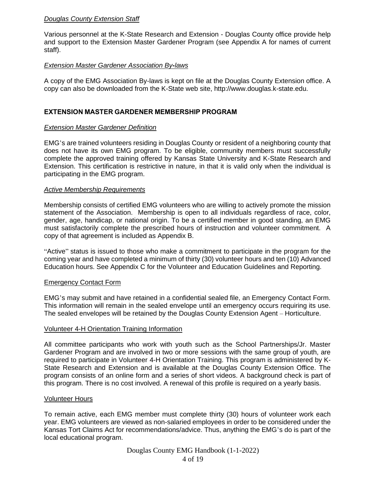# *Douglas County Extension Staff*

Various personnel at the K-State Research and Extension - Douglas County office provide help and support to the Extension Master Gardener Program (see Appendix A for names of current staff).

#### *Extension Master Gardener Association By-laws*

A copy of the EMG Association By-laws is kept on file at the Douglas County Extension office. A copy can also be downloaded from the K-State web site, http://www.douglas.k-state.edu.

#### **EXTENSION MASTER GARDENER MEMBERSHIP PROGRAM**

#### *Extension Master Gardener Definition*

EMG's are trained volunteers residing in Douglas County or resident of a neighboring county that does not have its own EMG program. To be eligible, community members must successfully complete the approved training offered by Kansas State University and K-State Research and Extension. This certification is restrictive in nature, in that it is valid only when the individual is participating in the EMG program.

#### *Active Membership Requirements*

Membership consists of certified EMG volunteers who are willing to actively promote the mission statement of the Association. Membership is open to all individuals regardless of race, color, gender, age, handicap, or national origin. To be a certified member in good standing, an EMG must satisfactorily complete the prescribed hours of instruction and volunteer commitment. A copy of that agreement is included as Appendix B.

"Active" status is issued to those who make a commitment to participate in the program for the coming year and have completed a minimum of thirty (30) volunteer hours and ten (10) Advanced Education hours. See Appendix C for the Volunteer and Education Guidelines and Reporting.

#### Emergency Contact Form

EMG's may submit and have retained in a confidential sealed file, an Emergency Contact Form. This information will remain in the sealed envelope until an emergency occurs requiring its use. The sealed envelopes will be retained by the Douglas County Extension Agent – Horticulture.

#### Volunteer 4-H Orientation Training Information

All committee participants who work with youth such as the School Partnerships/Jr. Master Gardener Program and are involved in two or more sessions with the same group of youth, are required to participate in Volunteer 4-H Orientation Training. This program is administered by K-State Research and Extension and is available at the Douglas County Extension Office. The program consists of an online form and a series of short videos. A background check is part of this program. There is no cost involved. A renewal of this profile is required on a yearly basis.

#### Volunteer Hours

To remain active, each EMG member must complete thirty (30) hours of volunteer work each year. EMG volunteers are viewed as non-salaried employees in order to be considered under the Kansas Tort Claims Act for recommendations/advice. Thus, anything the EMG's do is part of the local educational program.

Douglas County EMG Handbook (1-1-2022)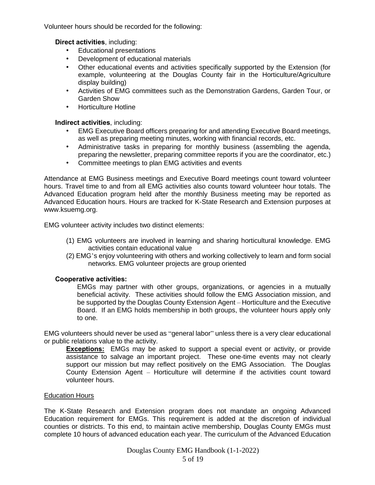Volunteer hours should be recorded for the following:

**Direct activities**, including:

- Educational presentations
- Development of educational materials
- Other educational events and activities specifically supported by the Extension (for example, volunteering at the Douglas County fair in the Horticulture/Agriculture display building)
- Activities of EMG committees such as the Demonstration Gardens, Garden Tour, or Garden Show
- Horticulture Hotline

**Indirect activities**, including:

- EMG Executive Board officers preparing for and attending Executive Board meetings, as well as preparing meeting minutes, working with financial records, etc.
- Administrative tasks in preparing for monthly business (assembling the agenda, preparing the newsletter, preparing committee reports if you are the coordinator, etc.)
- Committee meetings to plan EMG activities and events

Attendance at EMG Business meetings and Executive Board meetings count toward volunteer hours. Travel time to and from all EMG activities also counts toward volunteer hour totals. The Advanced Education program held after the monthly Business meeting may be reported as Advanced Education hours. Hours are tracked for K-State Research and Extension purposes at www.ksuemg.org.

EMG volunteer activity includes two distinct elements:

- (1) EMG volunteers are involved in learning and sharing horticultural knowledge. EMG activities contain educational value
- (2) EMG's enjoy volunteering with others and working collectively to learn and form social networks. EMG volunteer projects are group oriented

# **Cooperative activities:**

EMGs may partner with other groups, organizations, or agencies in a mutually beneficial activity. These activities should follow the EMG Association mission, and be supported by the Douglas County Extension Agent – Horticulture and the Executive Board. If an EMG holds membership in both groups, the volunteer hours apply only to one.

EMG volunteers should never be used as "general labor" unless there is a very clear educational or public relations value to the activity.

**Exceptions:** EMGs may be asked to support a special event or activity, or provide assistance to salvage an important project. These one-time events may not clearly support our mission but may reflect positively on the EMG Association. The Douglas County Extension Agent – Horticulture will determine if the activities count toward volunteer hours.

#### Education Hours

The K-State Research and Extension program does not mandate an ongoing Advanced Education requirement for EMGs. This requirement is added at the discretion of individual counties or districts. To this end, to maintain active membership, Douglas County EMGs must complete 10 hours of advanced education each year. The curriculum of the Advanced Education

Douglas County EMG Handbook (1-1-2022)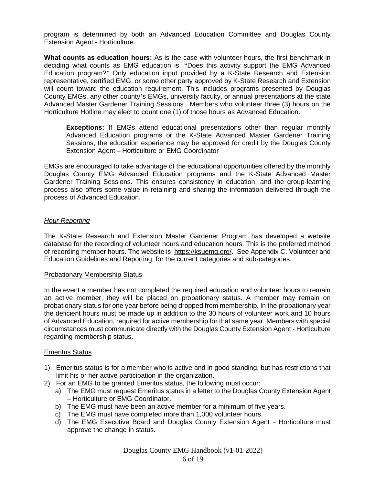program is determined by both an Advanced Education Committee and Douglas County Extension Agent - Horticulture.

**What counts as education hours:** As is the case with volunteer hours, the first benchmark in deciding what counts as EMG education is, "Does this activity support the EMG Advanced Education program?" Only education input provided by a K-State Research and Extension representative, certified EMG, or some other party approved by K-State Research and Extension will count toward the education requirement. This includes programs presented by Douglas County EMGs, any other county's EMGs, university faculty, or annual presentations at the state Advanced Master Gardener Training Sessions . Members who volunteer three (3) hours on the Horticulture Hotline may elect to count one (1) of those hours as Advanced Education.

**Exceptions:** If EMGs attend educational presentations other than regular monthly Advanced Education programs or the K-State Advanced Master Gardener Training Sessions, the education experience may be approved for credit by the Douglas County Extension Agent – Horticulture or EMG Coordinator

EMGs are encouraged to take advantage of the educational opportunities offered by the monthly Douglas County EMG Advanced Education programs and the K-State Advanced Master Gardener Training Sessions. This ensures consistency in education, and the group-learning process also offers some value in retaining and sharing the information delivered through the process of Advanced Education.

#### *Hour Reporting*

The K-State Research and Extension Master Gardener Program has developed a website database for the recording of volunteer hours and education hours. This is the preferred method of recording member hours. The website is [https://ksuemg.org/.](https://ksuemg.org/) See Appendix C, Volunteer and Education Guidelines and Reporting, for the current categories and sub-categories.

#### Probationary Membership Status

In the event a member has not completed the required education and volunteer hours to remain an active member, they will be placed on probationary status. A member may remain on probationary status for one year before being dropped from membership. In the probationary year the deficient hours must be made up in addition to the 30 hours of volunteer work and 10 hours of Advanced Education, required for active membership for that same year. Members with special circumstances must communicate directly with the Douglas County Extension Agent - Horticulture regarding membership status.

#### Emeritus Status

- 1) Emeritus status is for a member who is active and in good standing, but has restrictions that limit his or her active participation in the organization.
- 2) For an EMG to be granted Emeritus status, the following must occur:
	- a) The EMG must request Emeritus status in a letter to the Douglas County Extension Agent – Horticulture or EMG Coordinator.
	- b) The EMG must have been an active member for a minimum of five years.
	- c) The EMG must have completed more than 1,000 volunteer hours.
	- d) The EMG Executive Board and Douglas County Extension Agent Horticulture must approve the change in status.

Douglas County EMG Handbook (v1-01-2022) 6 of 19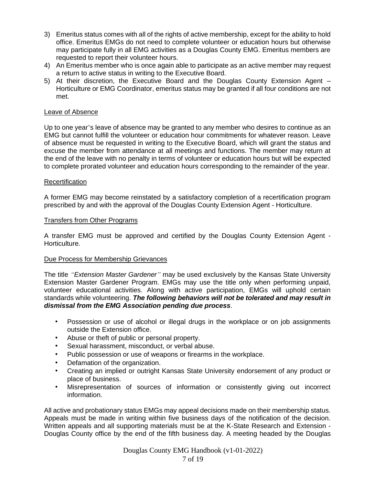- 3) Emeritus status comes with all of the rights of active membership, except for the ability to hold office. Emeritus EMGs do not need to complete volunteer or education hours but otherwise may participate fully in all EMG activities as a Douglas County EMG. Emeritus members are requested to report their volunteer hours.
- 4) An Emeritus member who is once again able to participate as an active member may request a return to active status in writing to the Executive Board.
- 5) At their discretion, the Executive Board and the Douglas County Extension Agent Horticulture or EMG Coordinator, emeritus status may be granted if all four conditions are not met.

#### Leave of Absence

Up to one year's leave of absence may be granted to any member who desires to continue as an EMG but cannot fulfill the volunteer or education hour commitments for whatever reason. Leave of absence must be requested in writing to the Executive Board, which will grant the status and excuse the member from attendance at all meetings and functions. The member may return at the end of the leave with no penalty in terms of volunteer or education hours but will be expected to complete prorated volunteer and education hours corresponding to the remainder of the year.

#### **Recertification**

A former EMG may become reinstated by a satisfactory completion of a recertification program prescribed by and with the approval of the Douglas County Extension Agent - Horticulture.

#### Transfers from Other Programs

A transfer EMG must be approved and certified by the Douglas County Extension Agent - Horticulture.

#### Due Process for Membership Grievances

The title *"Extension Master Gardener"* may be used exclusively by the Kansas State University Extension Master Gardener Program. EMGs may use the title only when performing unpaid, volunteer educational activities. Along with active participation, EMGs will uphold certain standards while volunteering. *The following behaviors will not be tolerated and may result in dismissal from the EMG Association pending due process*.

- Possession or use of alcohol or illegal drugs in the workplace or on job assignments outside the Extension office.
- Abuse or theft of public or personal property.
- Sexual harassment, misconduct, or verbal abuse.
- Public possession or use of weapons or firearms in the workplace.
- Defamation of the organization.
- Creating an implied or outright Kansas State University endorsement of any product or place of business.
- Misrepresentation of sources of information or consistently giving out incorrect information.

All active and probationary status EMGs may appeal decisions made on their membership status. Appeals must be made in writing within five business days of the notification of the decision. Written appeals and all supporting materials must be at the K-State Research and Extension - Douglas County office by the end of the fifth business day. A meeting headed by the Douglas

> Douglas County EMG Handbook (v1-01-2022) 7 of 19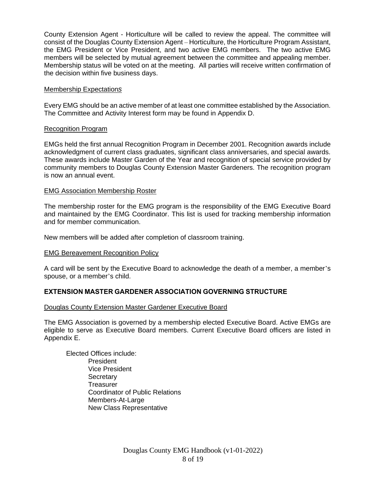County Extension Agent - Horticulture will be called to review the appeal. The committee will consist of the Douglas County Extension Agent – Horticulture, the Horticulture Program Assistant, the EMG President or Vice President, and two active EMG members. The two active EMG members will be selected by mutual agreement between the committee and appealing member. Membership status will be voted on at the meeting. All parties will receive written confirmation of the decision within five business days.

# Membership Expectation*s*

Every EMG should be an active member of at least one committee established by the Association. The Committee and Activity Interest form may be found in Appendix D.

#### Recognition Program

EMGs held the first annual Recognition Program in December 2001. Recognition awards include acknowledgment of current class graduates, significant class anniversaries, and special awards. These awards include Master Garden of the Year and recognition of special service provided by community members to Douglas County Extension Master Gardeners. The recognition program is now an annual event.

#### EMG Association Membership Roster

The membership roster for the EMG program is the responsibility of the EMG Executive Board and maintained by the EMG Coordinator. This list is used for tracking membership information and for member communication.

New members will be added after completion of classroom training.

#### EMG Bereavement Recognition Policy

A card will be sent by the Executive Board to acknowledge the death of a member, a member's spouse, or a member's child.

# **EXTENSION MASTER GARDENER ASSOCIATION GOVERNING STRUCTURE**

#### Douglas County Extension Master Gardener Executive Board

The EMG Association is governed by a membership elected Executive Board. Active EMGs are eligible to serve as Executive Board members. Current Executive Board officers are listed in Appendix E.

Elected Offices include: President Vice President **Secretary Treasurer** Coordinator of Public Relations Members-At-Large New Class Representative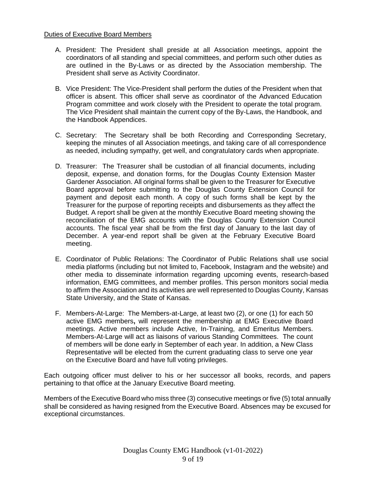#### Duties of Executive Board Members

- A. President: The President shall preside at all Association meetings, appoint the coordinators of all standing and special committees, and perform such other duties as are outlined in the By-Laws or as directed by the Association membership. The President shall serve as Activity Coordinator.
- B. Vice President: The Vice-President shall perform the duties of the President when that officer is absent. This officer shall serve as coordinator of the Advanced Education Program committee and work closely with the President to operate the total program. The Vice President shall maintain the current copy of the By-Laws, the Handbook, and the Handbook Appendices.
- C. Secretary: The Secretary shall be both Recording and Corresponding Secretary, keeping the minutes of all Association meetings, and taking care of all correspondence as needed, including sympathy, get well, and congratulatory cards when appropriate.
- D. Treasurer: The Treasurer shall be custodian of all financial documents, including deposit, expense, and donation forms, for the Douglas County Extension Master Gardener Association. All original forms shall be given to the Treasurer for Executive Board approval before submitting to the Douglas County Extension Council for payment and deposit each month. A copy of such forms shall be kept by the Treasurer for the purpose of reporting receipts and disbursements as they affect the Budget. A report shall be given at the monthly Executive Board meeting showing the reconciliation of the EMG accounts with the Douglas County Extension Council accounts. The fiscal year shall be from the first day of January to the last day of December. A year-end report shall be given at the February Executive Board meeting.
- E. Coordinator of Public Relations: The Coordinator of Public Relations shall use social media platforms (including but not limited to, Facebook, Instagram and the website) and other media to disseminate information regarding upcoming events, research-based information, EMG committees, and member profiles. This person monitors social media to affirm the Association and its activities are well represented to Douglas County, Kansas State University, and the State of Kansas.
- F. Members-At-Large: The Members-at-Large, at least two (2), or one (1) for each 50 active EMG members**,** will represent the membership at EMG Executive Board meetings. Active members include Active, In-Training, and Emeritus Members. Members-At-Large will act as liaisons of various Standing Committees. The count of members will be done early in September of each year. In addition, a New Class Representative will be elected from the current graduating class to serve one year on the Executive Board and have full voting privileges.

Each outgoing officer must deliver to his or her successor all books, records, and papers pertaining to that office at the January Executive Board meeting.

Members of the Executive Board who miss three (3) consecutive meetings or five (5) total annually shall be considered as having resigned from the Executive Board. Absences may be excused for exceptional circumstances.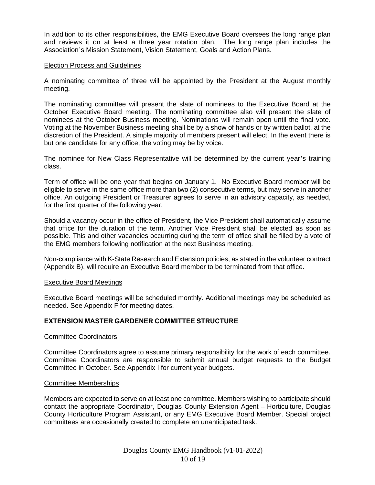In addition to its other responsibilities, the EMG Executive Board oversees the long range plan and reviews it on at least a three year rotation plan. The long range plan includes the Association's Mission Statement, Vision Statement, Goals and Action Plans.

#### Election Process and Guidelines

A nominating committee of three will be appointed by the President at the August monthly meeting.

The nominating committee will present the slate of nominees to the Executive Board at the October Executive Board meeting. The nominating committee also will present the slate of nominees at the October Business meeting. Nominations will remain open until the final vote. Voting at the November Business meeting shall be by a show of hands or by written ballot, at the discretion of the President. A simple majority of members present will elect. In the event there is but one candidate for any office, the voting may be by voice.

The nominee for New Class Representative will be determined by the current year's training class.

Term of office will be one year that begins on January 1. No Executive Board member will be eligible to serve in the same office more than two (2) consecutive terms, but may serve in another office. An outgoing President or Treasurer agrees to serve in an advisory capacity, as needed, for the first quarter of the following year.

Should a vacancy occur in the office of President, the Vice President shall automatically assume that office for the duration of the term. Another Vice President shall be elected as soon as possible. This and other vacancies occurring during the term of office shall be filled by a vote of the EMG members following notification at the next Business meeting.

Non-compliance with K-State Research and Extension policies, as stated in the volunteer contract (Appendix B), will require an Executive Board member to be terminated from that office.

#### Executive Board Meetings

Executive Board meetings will be scheduled monthly. Additional meetings may be scheduled as needed. See Appendix F for meeting dates.

#### **EXTENSION MASTER GARDENER COMMITTEE STRUCTURE**

#### Committee Coordinators

Committee Coordinators agree to assume primary responsibility for the work of each committee. Committee Coordinators are responsible to submit annual budget requests to the Budget Committee in October. See Appendix I for current year budgets.

#### Committee Memberships

Members are expected to serve on at least one committee. Members wishing to participate should contact the appropriate Coordinator, Douglas County Extension Agent – Horticulture, Douglas County Horticulture Program Assistant, or any EMG Executive Board Member. Special project committees are occasionally created to complete an unanticipated task.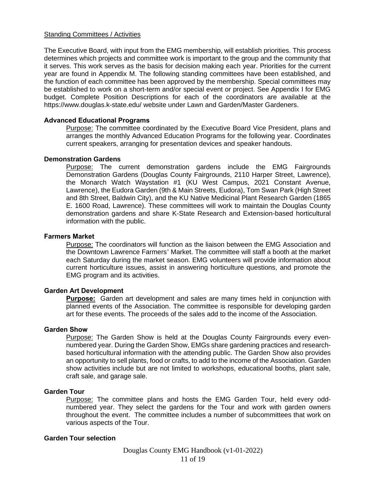#### Standing Committees / Activities

The Executive Board, with input from the EMG membership, will establish priorities. This process determines which projects and committee work is important to the group and the community that it serves. This work serves as the basis for decision making each year. Priorities for the current year are found in Appendix M. The following standing committees have been established, and the function of each committee has been approved by the membership. Special committees may be established to work on a short-term and/or special event or project. See Appendix I for EMG budget. Complete Position Descriptions for each of the coordinators are available at the https://www.douglas.k-state.edu/ website under Lawn and Garden/Master Gardeners.

#### **Advanced Educational Programs**

Purpose: The committee coordinated by the Executive Board Vice President, plans and arranges the monthly Advanced Education Programs for the following year. Coordinates current speakers, arranging for presentation devices and speaker handouts.

#### **Demonstration Gardens**

Purpose: The current demonstration gardens include the EMG Fairgrounds Demonstration Gardens (Douglas County Fairgrounds, 2110 Harper Street, Lawrence), the Monarch Watch Waystation #1 (KU West Campus, 2021 Constant Avenue, Lawrence), the Eudora Garden (9th & Main Streets, Eudora), Tom Swan Park (High Street and 8th Street, Baldwin City), and the KU Native Medicinal Plant Research Garden (1865 E. 1600 Road, Lawrence). These committees will work to maintain the Douglas County demonstration gardens and share K-State Research and Extension-based horticultural information with the public.

#### **Farmers Market**

Purpose: The coordinators will function as the liaison between the EMG Association and the Downtown Lawrence Farmers' Market. The committee will staff a booth at the market each Saturday during the market season. EMG volunteers will provide information about current horticulture issues, assist in answering horticulture questions, and promote the EMG program and its activities.

# **Garden Art Development**

**Purpose:** Garden art development and sales are many times held in conjunction with planned events of the Association. The committee is responsible for developing garden art for these events. The proceeds of the sales add to the income of the Association.

#### **Garden Show**

Purpose: The Garden Show is held at the Douglas County Fairgrounds every evennumbered year. During the Garden Show, EMGs share gardening practices and researchbased horticultural information with the attending public. The Garden Show also provides an opportunity to sell plants, food or crafts, to add to the income of the Association. Garden show activities include but are not limited to workshops, educational booths, plant sale, craft sale, and garage sale.

#### **Garden Tour**

Purpose: The committee plans and hosts the EMG Garden Tour, held every oddnumbered year. They select the gardens for the Tour and work with garden owners throughout the event. The committee includes a number of subcommittees that work on various aspects of the Tour.

#### **Garden Tour selection**

Douglas County EMG Handbook (v1-01-2022) 11 of 19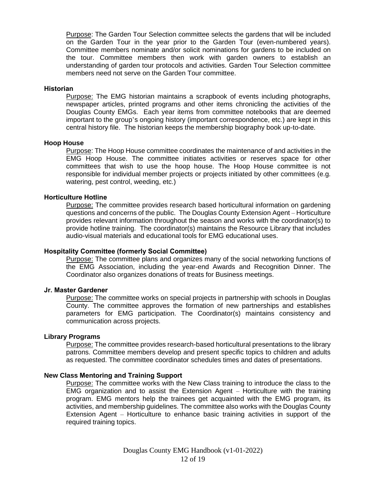Purpose: The Garden Tour Selection committee selects the gardens that will be included on the Garden Tour in the year prior to the Garden Tour (even-numbered years). Committee members nominate and/or solicit nominations for gardens to be included on the tour. Committee members then work with garden owners to establish an understanding of garden tour protocols and activities. Garden Tour Selection committee members need not serve on the Garden Tour committee.

#### **Historian**

Purpose: The EMG historian maintains a scrapbook of events including photographs, newspaper articles, printed programs and other items chronicling the activities of the Douglas County EMGs. Each year items from committee notebooks that are deemed important to the group's ongoing history (important correspondence, etc.) are kept in this central history file. The historian keeps the membership biography book up-to-date.

#### **Hoop House**

Purpose: The Hoop House committee coordinates the maintenance of and activities in the EMG Hoop House. The committee initiates activities or reserves space for other committees that wish to use the hoop house. The Hoop House committee is not responsible for individual member projects or projects initiated by other committees (e.g. watering, pest control, weeding, etc.)

#### **Horticulture Hotline**

Purpose: The committee provides research based horticultural information on gardening questions and concerns of the public. The Douglas County Extension Agent – Horticulture provides relevant information throughout the season and works with the coordinator(s) to provide hotline training. The coordinator(s) maintains the Resource Library that includes audio-visual materials and educational tools for EMG educational uses.

#### **Hospitality Committee (formerly Social Committee)**

Purpose: The committee plans and organizes many of the social networking functions of the EMG Association, including the year-end Awards and Recognition Dinner. The Coordinator also organizes donations of treats for Business meetings.

#### **Jr. Master Gardener**

Purpose: The committee works on special projects in partnership with schools in Douglas County. The committee approves the formation of new partnerships and establishes parameters for EMG participation. The Coordinator(s) maintains consistency and communication across projects.

#### **Library Programs**

Purpose: The committee provides research-based horticultural presentations to the library patrons. Committee members develop and present specific topics to children and adults as requested. The committee coordinator schedules times and dates of presentations.

#### **New Class Mentoring and Training Support**

Purpose: The committee works with the New Class training to introduce the class to the EMG organization and to assist the Extension Agent – Horticulture with the training program. EMG mentors help the trainees get acquainted with the EMG program, its activities, and membership guidelines. The committee also works with the Douglas County Extension Agent – Horticulture to enhance basic training activities in support of the required training topics.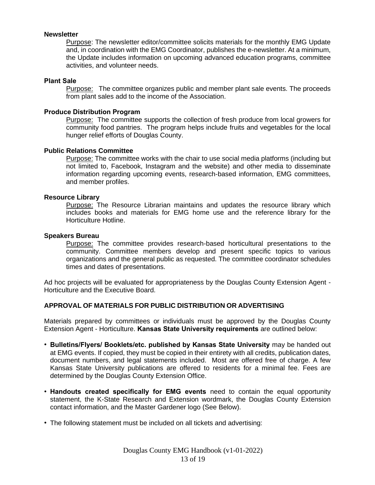#### **Newsletter**

Purpose: The newsletter editor/committee solicits materials for the monthly EMG Update and, in coordination with the EMG Coordinator, publishes the e-newsletter. At a minimum, the Update includes information on upcoming advanced education programs, committee activities, and volunteer needs.

#### **Plant Sale**

Purpose: The committee organizes public and member plant sale events. The proceeds from plant sales add to the income of the Association.

#### **Produce Distribution Program**

Purpose: The committee supports the collection of fresh produce from local growers for community food pantries. The program helps include fruits and vegetables for the local hunger relief efforts of Douglas County.

#### **Public Relations Committee**

Purpose: The committee works with the chair to use social media platforms (including but not limited to, Facebook, Instagram and the website) and other media to disseminate information regarding upcoming events, research-based information, EMG committees, and member profiles.

#### **Resource Library**

Purpose: The Resource Librarian maintains and updates the resource library which includes books and materials for EMG home use and the reference library for the Horticulture Hotline.

#### **Speakers Bureau**

Purpose: The committee provides research-based horticultural presentations to the community. Committee members develop and present specific topics to various organizations and the general public as requested. The committee coordinator schedules times and dates of presentations.

Ad hoc projects will be evaluated for appropriateness by the Douglas County Extension Agent - Horticulture and the Executive Board.

#### **APPROVAL OF MATERIALS FOR PUBLIC DISTRIBUTION OR ADVERTISING**

Materials prepared by committees or individuals must be approved by the Douglas County Extension Agent - Horticulture. **Kansas State University requirements** are outlined below:

- **Bulletins/Flyers/ Booklets/etc. published by Kansas State University** may be handed out at EMG events. If copied, they must be copied in their entirety with all credits, publication dates, document numbers, and legal statements included. Most are offered free of charge. A few Kansas State University publications are offered to residents for a minimal fee. Fees are determined by the Douglas County Extension Office.
- **Handouts created specifically for EMG events** need to contain the equal opportunity statement, the K-State Research and Extension wordmark, the Douglas County Extension contact information, and the Master Gardener logo (See Below).
- The following statement must be included on all tickets and advertising: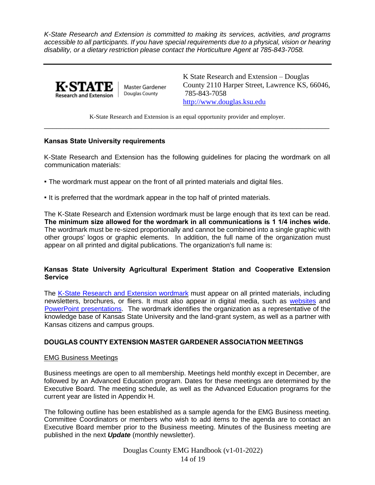*K-State Research and Extension is committed to making its services, activities, and programs accessible to all participants. If you have special requirements due to a physical, vision or hearing disability, or a dietary restriction please contact the Horticulture Agent at 785-843-7058.* 



Master Gardener Douglas County

K State Research and Extension – Douglas County 2110 Harper Street, Lawrence KS, 66046, 785-843-7058 [http://www.douglas.ksu.edu](http://www.douglas.ksu.edu/)

K-State Research and Extension is an equal opportunity provider and employer. \_\_\_\_\_\_\_\_\_\_\_\_\_\_\_\_\_\_\_\_\_\_\_\_\_\_\_\_\_\_\_\_\_\_\_\_\_\_\_\_\_\_\_\_\_\_\_\_\_\_\_\_\_\_\_\_\_\_\_\_\_\_\_\_\_\_\_\_\_

# **Kansas State University requirements**

K-State Research and Extension has the following guidelines for placing the wordmark on all communication materials:

- The wordmark must appear on the front of all printed materials and digital files.
- It is preferred that the wordmark appear in the top half of printed materials.

The K-State Research and Extension wordmark must be large enough that its text can be read. **The minimum size allowed for the wordmark in all communications is 1 1/4 inches wide.** The wordmark must be re-sized proportionally and cannot be combined into a single graphic with other groups' logos or graphic elements. In addition, the full name of the organization must appear on all printed and digital publications. The organization's full name is:

# **Kansas State University Agricultural Experiment Station and Cooperative Extension Service**

The K-State Research and Extension wordmark must appear on all printed materials, including newsletters, brochures, or fliers. It must also appear in digital media, such as websites and PowerPoint presentations. The wordmark identifies the organization as a representative of the knowledge base of Kansas State University and the land-grant system, as well as a partner with Kansas citizens and campus groups.

# **DOUGLAS COUNTY EXTENSION MASTER GARDENER ASSOCIATION MEETINGS**

#### EMG Business Meetings

Business meetings are open to all membership. Meetings held monthly except in December, are followed by an Advanced Education program. Dates for these meetings are determined by the Executive Board. The meeting schedule, as well as the Advanced Education programs for the current year are listed in Appendix H.

The following outline has been established as a sample agenda for the EMG Business meeting. Committee Coordinators or members who wish to add items to the agenda are to contact an Executive Board member prior to the Business meeting. Minutes of the Business meeting are published in the next *Update* (monthly newsletter).

> Douglas County EMG Handbook (v1-01-2022) 14 of 19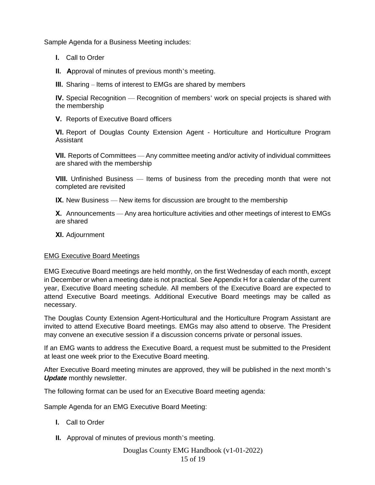Sample Agenda for a Business Meeting includes:

- **I.** Call to Order
- **II. A**pproval of minutes of previous month's meeting.
- **III.** Sharing Items of interest to EMGs are shared by members

**IV.** Special Recognition — Recognition of members' work on special projects is shared with the membership

**V.** Reports of Executive Board officers

**VI.** Report of Douglas County Extension Agent - Horticulture and Horticulture Program Assistant

**VII.** Reports of Committees — Any committee meeting and/or activity of individual committees are shared with the membership

**VIII.** Unfinished Business — Items of business from the preceding month that were not completed are revisited

**IX.** New Business — New items for discussion are brought to the membership

**X.** Announcements — Any area horticulture activities and other meetings of interest to EMGs are shared

**XI.** Adjournment

#### EMG Executive Board Meetings

EMG Executive Board meetings are held monthly, on the first Wednesday of each month, except in December or when a meeting date is not practical. See Appendix H for a calendar of the current year, Executive Board meeting schedule. All members of the Executive Board are expected to attend Executive Board meetings. Additional Executive Board meetings may be called as necessary.

The Douglas County Extension Agent-Horticultural and the Horticulture Program Assistant are invited to attend Executive Board meetings. EMGs may also attend to observe. The President may convene an executive session if a discussion concerns private or personal issues.

If an EMG wants to address the Executive Board, a request must be submitted to the President at least one week prior to the Executive Board meeting.

After Executive Board meeting minutes are approved, they will be published in the next month's *Update* monthly newsletter.

The following format can be used for an Executive Board meeting agenda:

Sample Agenda for an EMG Executive Board Meeting:

- **I.** Call to Order
- **II.** Approval of minutes of previous month's meeting.

# Douglas County EMG Handbook (v1-01-2022) 15 of 19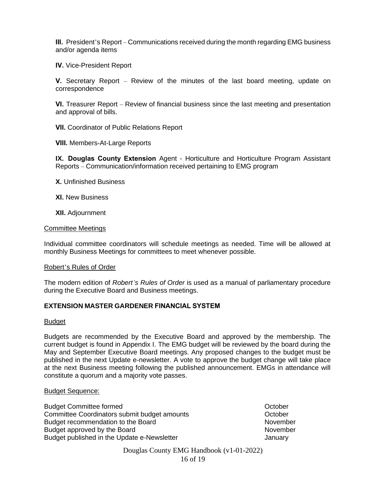**III.** President's Report – Communications received during the month regarding EMG business and/or agenda items

**IV.** Vice-President Report

**V.** Secretary Report – Review of the minutes of the last board meeting, update on correspondence

**VI.** Treasurer Report – Review of financial business since the last meeting and presentation and approval of bills.

**VII.** Coordinator of Public Relations Report

**VIII.** Members-At-Large Reports

**IX. Douglas County Extension** Agent - Horticulture and Horticulture Program Assistant Reports – Communication/information received pertaining to EMG program

**X.** Unfinished Business

**XI.** New Business

**XII.** Adjournment

#### Committee Meetings

Individual committee coordinators will schedule meetings as needed. Time will be allowed at monthly Business Meetings for committees to meet whenever possible.

#### Robert's Rules of Order

The modern edition of *Robert's Rules of Order* is used as a manual of parliamentary procedure during the Executive Board and Business meetings.

#### **EXTENSION MASTER GARDENER FINANCIAL SYSTEM**

#### **Budget**

Budgets are recommended by the Executive Board and approved by the membership. The current budget is found in Appendix I. The EMG budget will be reviewed by the board during the May and September Executive Board meetings. Any proposed changes to the budget must be published in the next Update e-newsletter. A vote to approve the budget change will take place at the next Business meeting following the published announcement. EMGs in attendance will constitute a quorum and a majority vote passes.

#### Budget Sequence:

Budget Committee formed **October Committee formed October October** Committee Coordinators submit budget amounts October Budget recommendation to the Board November November Budget approved by the Board November November Budget published in the Update e-Newsletter **Figure 2018** January

Douglas County EMG Handbook (v1-01-2022) 16 of 19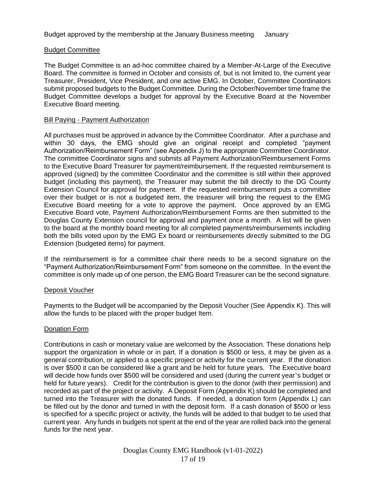# Budget Committee

The Budget Committee is an ad-hoc committee chaired by a Member-At-Large of the Executive Board. The committee is formed in October and consists of, but is not limited to, the current year Treasurer, President, Vice President, and one active EMG. In October, Committee Coordinators submit proposed budgets to the Budget Committee. During the October/November time frame the Budget Committee develops a budget for approval by the Executive Board at the November Executive Board meeting.

#### Bill Paying - Payment Authorization

All purchases must be approved in advance by the Committee Coordinator. After a purchase and within 30 days, the EMG should give an original receipt and completed "payment Authorization/Reimbursement Form" (see Appendix J) to the appropriate Committee Coordinator. The committee Coordinator signs and submits all Payment Authorization/Reimbursement Forms to the Executive Board Treasurer for payment/reimbursement. If the requested reimbursement is approved (signed) by the committee Coordinator and the committee is still within their approved budget (including this payment), the Treasurer may submit the bill directly to the DG County Extension Council for approval for payment. If the requested reimbursement puts a committee over their budget or is not a budgeted item, the treasurer will bring the request to the EMG Executive Board meeting for a vote to approve the payment. Once approved by an EMG Executive Board vote, Payment Authorization/Reimbursement Forms are then submitted to the Douglas County Extension council for approval and payment once a month. A list will be given to the board at the monthly board meeting for all completed payments/reimbursements including both the bills voted upon by the EMG Ex board or reimbursements directly submitted to the DG Extension (budgeted items) for payment.

If the reimbursement is for a committee chair there needs to be a second signature on the "Payment Authorization/Reimbursement Form" from someone on the committee. In the event the committee is only made up of one person, the EMG Board Treasurer can be the second signature.

#### Deposit Voucher

Payments to the Budget will be accompanied by the Deposit Voucher (See Appendix K). This will allow the funds to be placed with the proper budget Item.

# Donation Form

Contributions in cash or monetary value are welcomed by the Association. These donations help support the organization in whole or in part. If a donation is \$500 or less, it may be given as a general contribution, or applied to a specific project or activity for the current year. If the donation is over \$500 it can be considered like a grant and be held for future years. The Executive board will decide how funds over \$500 will be considered and used (during the current year's budget or held for future years). Credit for the contribution is given to the donor (with their permission) and recorded as part of the project or activity. A Deposit Form (Appendix K) should be completed and turned into the Treasurer with the donated funds. If needed, a donation form (Appendix L) can be filled out by the donor and turned in with the deposit form. If a cash donation of \$500 or less is specified for a specific project or activity, the funds will be added to that budget to be used that current year. Any funds in budgets not spent at the end of the year are rolled back into the general funds for the next year.

> Douglas County EMG Handbook (v1-01-2022) 17 of 19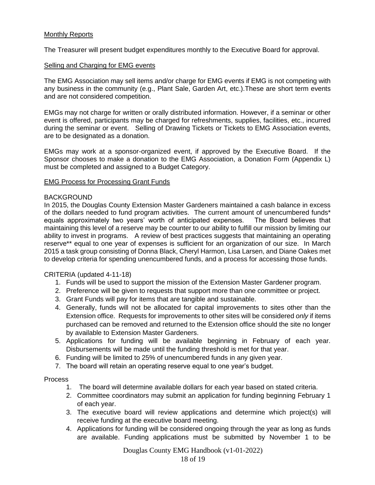# Monthly Reports

The Treasurer will present budget expenditures monthly to the Executive Board for approval.

#### Selling and Charging for EMG events

The EMG Association may sell items and/or charge for EMG events if EMG is not competing with any business in the community (e.g., Plant Sale, Garden Art, etc.).These are short term events and are not considered competition.

EMGs may not charge for written or orally distributed information. However, if a seminar or other event is offered, participants may be charged for refreshments, supplies, facilities, etc., incurred during the seminar or event. Selling of Drawing Tickets or Tickets to EMG Association events, are to be designated as a donation.

EMGs may work at a sponsor-organized event, if approved by the Executive Board. If the Sponsor chooses to make a donation to the EMG Association, a Donation Form (Appendix L) must be completed and assigned to a Budget Category.

# EMG Process for Processing Grant Funds

#### **BACKGROUND**

In 2015, the Douglas County Extension Master Gardeners maintained a cash balance in excess of the dollars needed to fund program activities. The current amount of unencumbered funds\* equals approximately two years' worth of anticipated expenses. The Board believes that maintaining this level of a reserve may be counter to our ability to fulfill our mission by limiting our ability to invest in programs. A review of best practices suggests that maintaining an operating reserve\*\* equal to one year of expenses is sufficient for an organization of our size. In March 2015 a task group consisting of Donna Black, Cheryl Harmon, Lisa Larsen, and Diane Oakes met to develop criteria for spending unencumbered funds, and a process for accessing those funds.

#### CRITERIA (updated 4-11-18)

- 1. Funds will be used to support the mission of the Extension Master Gardener program.
- 2. Preference will be given to requests that support more than one committee or project.
- 3. Grant Funds will pay for items that are tangible and sustainable.
- 4. Generally, funds will not be allocated for capital improvements to sites other than the Extension office. Requests for improvements to other sites will be considered *only* if items purchased can be removed and returned to the Extension office should the site no longer by available to Extension Master Gardeners.
- 5. Applications for funding will be available beginning in February of each year. Disbursements will be made until the funding threshold is met for that year.
- 6. Funding will be limited to 25% of unencumbered funds in any given year.
- 7. The board will retain an operating reserve equal to one year's budget.

#### Process

- 1. The board will determine available dollars for each year based on stated criteria.
- 2. Committee coordinators may submit an application for funding beginning February 1 of each year.
- 3. The executive board will review applications and determine which project(s) will receive funding at the executive board meeting.
- 4. Applications for funding will be considered ongoing through the year as long as funds are available. Funding applications must be submitted by November 1 to be

Douglas County EMG Handbook (v1-01-2022)